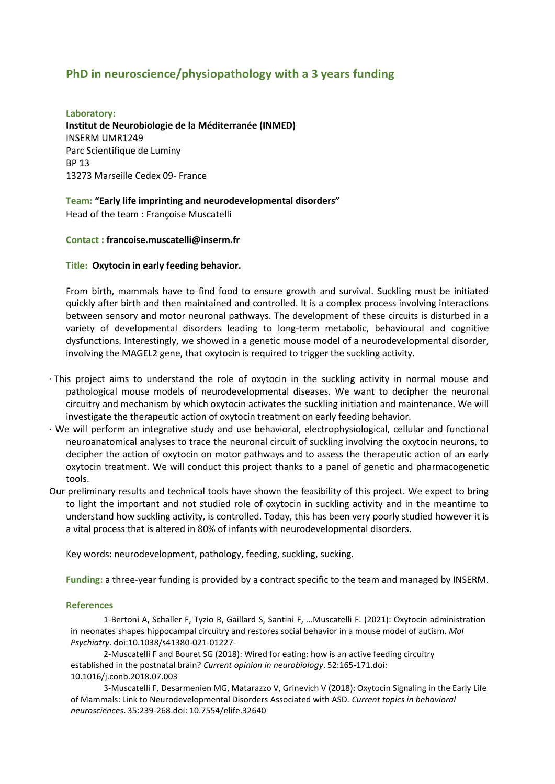# **PhD in neuroscience/physiopathology with a 3 years funding**

**Laboratory: Institut de Neurobiologie de la Méditerranée (INMED)** INSERM UMR1249 Parc Scientifique de Luminy BP 13 13273 Marseille Cedex 09- France

# **Team: "Early life imprinting and neurodevelopmental disorders"**

Head of the team : Françoise Muscatelli

# **Contact : francoise.muscatelli@inserm.fr**

# **Title: Oxytocin in early feeding behavior.**

From birth, mammals have to find food to ensure growth and survival. Suckling must be initiated quickly after birth and then maintained and controlled. It is a complex process involving interactions between sensory and motor neuronal pathways. The development of these circuits is disturbed in a variety of developmental disorders leading to long-term metabolic, behavioural and cognitive dysfunctions. Interestingly, we showed in a genetic mouse model of a neurodevelopmental disorder, involving the MAGEL2 gene, that oxytocin is required to trigger the suckling activity.

- · This project aims to understand the role of oxytocin in the suckling activity in normal mouse and pathological mouse models of neurodevelopmental diseases. We want to decipher the neuronal circuitry and mechanism by which oxytocin activates the suckling initiation and maintenance. We will investigate the therapeutic action of oxytocin treatment on early feeding behavior.
- · We will perform an integrative study and use behavioral, electrophysiological, cellular and functional neuroanatomical analyses to trace the neuronal circuit of suckling involving the oxytocin neurons, to decipher the action of oxytocin on motor pathways and to assess the therapeutic action of an early oxytocin treatment. We will conduct this project thanks to a panel of genetic and pharmacogenetic tools.
- Our preliminary results and technical tools have shown the feasibility of this project. We expect to bring to light the important and not studied role of oxytocin in suckling activity and in the meantime to understand how suckling activity, is controlled. Today, this has been very poorly studied however it is a vital process that is altered in 80% of infants with neurodevelopmental disorders.

Key words: neurodevelopment, pathology, feeding, suckling, sucking.

**Funding:** a three-year funding is provided by a contract specific to the team and managed by INSERM.

### **References**

1-Bertoni A, Schaller F, Tyzio R, Gaillard S, Santini F, …Muscatelli F. (2021): Oxytocin administration in neonates shapes hippocampal circuitry and restores social behavior in a mouse model of autism. *Mol Psychiatry*. doi:10.1038/s41380-021-01227-

2-Muscatelli F and Bouret SG (2018): Wired for eating: how is an active feeding circuitry established in the postnatal brain? *Current opinion in neurobiology*. 52:165-171.doi: [10.1016/j.conb.2018.07.003](https://doi-org.proxy.insermbiblio.inist.fr/10.1016/j.conb.2018.07.003)

3-Muscatelli F, Desarmenien MG, Matarazzo V, Grinevich V (2018): Oxytocin Signaling in the Early Life of Mammals: Link to Neurodevelopmental Disorders Associated with ASD. *Current topics in behavioral neurosciences*. 35:239-268.doi: [10.7554/elife.32640](https://doi.org/10.7554/elife.32640)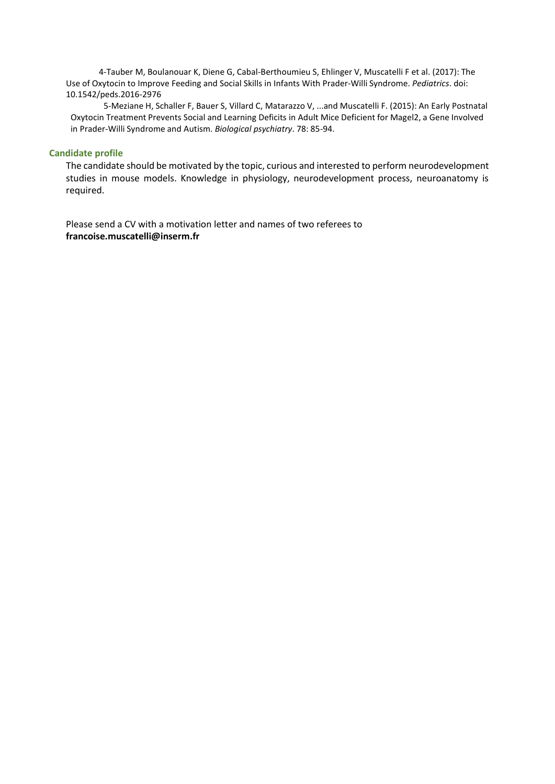4-Tauber M, Boulanouar K, Diene G, Cabal-Berthoumieu S, Ehlinger V, Muscatelli F et al. (2017): The Use of Oxytocin to Improve Feeding and Social Skills in Infants With Prader-Willi Syndrome. *Pediatrics*. doi: [10.1542/peds.2016-2976](https://doi.org/10.1542/peds.2016-2976)

5-Meziane H, Schaller F, Bauer S, Villard C, Matarazzo V, ...and Muscatelli F. (2015): An Early Postnatal Oxytocin Treatment Prevents Social and Learning Deficits in Adult Mice Deficient for Magel2, a Gene Involved in Prader-Willi Syndrome and Autism. *Biological psychiatry*. 78: 85-94.

### **Candidate profile**

The candidate should be motivated by the topic, curious and interested to perform neurodevelopment studies in mouse models. Knowledge in physiology, neurodevelopment process, neuroanatomy is required.

Please send a CV with a motivation letter and names of two referees to **francoise.muscatelli@inserm.fr**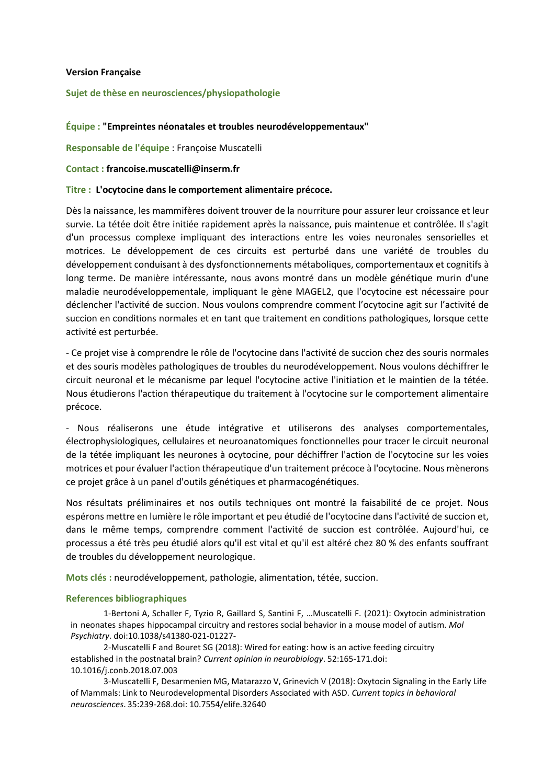# **Version Française**

# **Sujet de thèse en neurosciences/physiopathologie**

# **Équipe : "Empreintes néonatales et troubles neurodéveloppementaux"**

**Responsable de l'équipe** : Françoise Muscatelli

### **Contact : francoise.muscatelli@inserm.fr**

# **Titre : L'ocytocine dans le comportement alimentaire précoce.**

Dès la naissance, les mammifères doivent trouver de la nourriture pour assurer leur croissance et leur survie. La tétée doit être initiée rapidement après la naissance, puis maintenue et contrôlée. Il s'agit d'un processus complexe impliquant des interactions entre les voies neuronales sensorielles et motrices. Le développement de ces circuits est perturbé dans une variété de troubles du développement conduisant à des dysfonctionnements métaboliques, comportementaux et cognitifs à long terme. De manière intéressante, nous avons montré dans un modèle génétique murin d'une maladie neurodéveloppementale, impliquant le gène MAGEL2, que l'ocytocine est nécessaire pour déclencher l'activité de succion. Nous voulons comprendre comment l'ocytocine agit sur l'activité de succion en conditions normales et en tant que traitement en conditions pathologiques, lorsque cette activité est perturbée.

- Ce projet vise à comprendre le rôle de l'ocytocine dans l'activité de succion chez des souris normales et des souris modèles pathologiques de troubles du neurodéveloppement. Nous voulons déchiffrer le circuit neuronal et le mécanisme par lequel l'ocytocine active l'initiation et le maintien de la tétée. Nous étudierons l'action thérapeutique du traitement à l'ocytocine sur le comportement alimentaire précoce.

- Nous réaliserons une étude intégrative et utiliserons des analyses comportementales, électrophysiologiques, cellulaires et neuroanatomiques fonctionnelles pour tracer le circuit neuronal de la tétée impliquant les neurones à ocytocine, pour déchiffrer l'action de l'ocytocine sur les voies motrices et pour évaluer l'action thérapeutique d'un traitement précoce à l'ocytocine. Nous mènerons ce projet grâce à un panel d'outils génétiques et pharmacogénétiques.

Nos résultats préliminaires et nos outils techniques ont montré la faisabilité de ce projet. Nous espérons mettre en lumière le rôle important et peu étudié de l'ocytocine dans l'activité de succion et, dans le même temps, comprendre comment l'activité de succion est contrôlée. Aujourd'hui, ce processus a été très peu étudié alors qu'il est vital et qu'il est altéré chez 80 % des enfants souffrant de troubles du développement neurologique.

**Mots clés :** neurodéveloppement, pathologie, alimentation, tétée, succion.

### **References bibliographiques**

1-Bertoni A, Schaller F, Tyzio R, Gaillard S, Santini F, …Muscatelli F. (2021): Oxytocin administration in neonates shapes hippocampal circuitry and restores social behavior in a mouse model of autism. *Mol Psychiatry*. doi:10.1038/s41380-021-01227-

2-Muscatelli F and Bouret SG (2018): Wired for eating: how is an active feeding circuitry established in the postnatal brain? *Current opinion in neurobiology*. 52:165-171.doi: [10.1016/j.conb.2018.07.003](https://doi-org.proxy.insermbiblio.inist.fr/10.1016/j.conb.2018.07.003)

3-Muscatelli F, Desarmenien MG, Matarazzo V, Grinevich V (2018): Oxytocin Signaling in the Early Life of Mammals: Link to Neurodevelopmental Disorders Associated with ASD. *Current topics in behavioral neurosciences*. 35:239-268.doi: [10.7554/elife.32640](https://doi.org/10.7554/elife.32640)